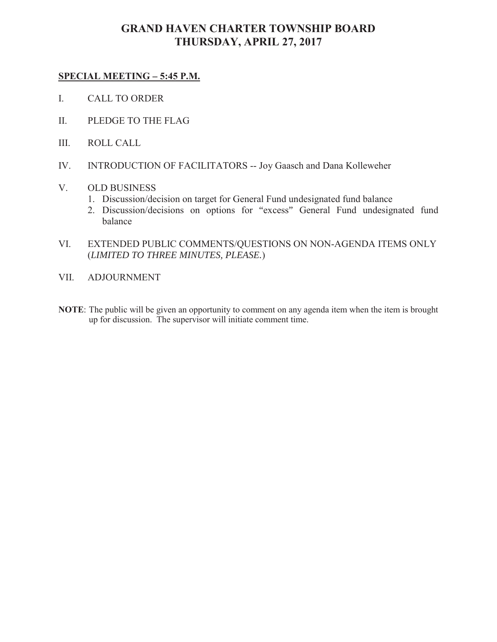### **GRAND HAVEN CHARTER TOWNSHIP BOARD THURSDAY, APRIL 27, 2017**

#### **SPECIAL MEETING – 5:45 P.M.**

- I. CALL TO ORDER
- II. PLEDGE TO THE FLAG
- III. ROLL CALL
- IV. INTRODUCTION OF FACILITATORS -- Joy Gaasch and Dana Kolleweher
- V. OLD BUSINESS
	- 1. Discussion/decision on target for General Fund undesignated fund balance
	- 2. Discussion/decisions on options for "excess" General Fund undesignated fund balance
- VI. EXTENDED PUBLIC COMMENTS/QUESTIONS ON NON-AGENDA ITEMS ONLY (*LIMITED TO THREE MINUTES, PLEASE.*)
- VII. ADJOURNMENT
- **NOTE**: The public will be given an opportunity to comment on any agenda item when the item is brought up for discussion. The supervisor will initiate comment time.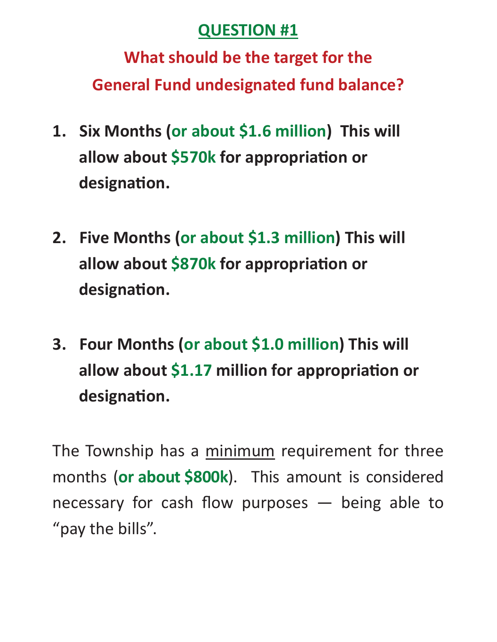## **QUESTION #1**

**What should be the target for the General Fund undesignated fund balance?** 

- **1. Six Months (or about \$1.6 million) This will allow about \$570k for appropriation or designaƟon.**
- **2. Five Months (or about \$1.3 million) This will allow about \$870k for appropriaƟon or designaƟon.**
- **3. Four Months (or about \$1.0 million) This will allow about \$1.17 million for appropriation or designaƟon.**

The Township has a minimum requirement for three months (**or about \$800k**). This amount is considered necessary for cash flow purposes — being able to "pay the bills".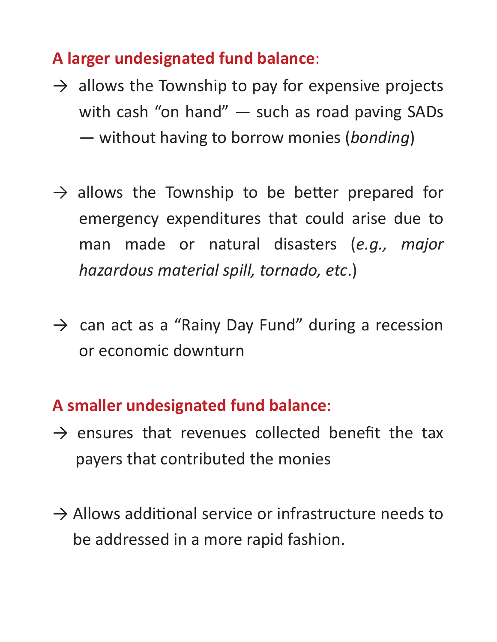# **A larger undesignated fund balance**:

- $\rightarrow$  allows the Township to pay for expensive projects with cash "on hand" — such as road paving SADs — without having to borrow monies (*bonding*)
- $\rightarrow$  allows the Township to be better prepared for emergency expenditures that could arise due to man made or natural disasters (*e.g., major hazardous material spill, tornado, etc*.)
- $\rightarrow$  can act as a "Rainy Day Fund" during a recession or economic downturn

# **A smaller undesignated fund balance**:

- $\rightarrow$  ensures that revenues collected benefit the tax payers that contributed the monies
- $\rightarrow$  Allows additional service or infrastructure needs to be addressed in a more rapid fashion.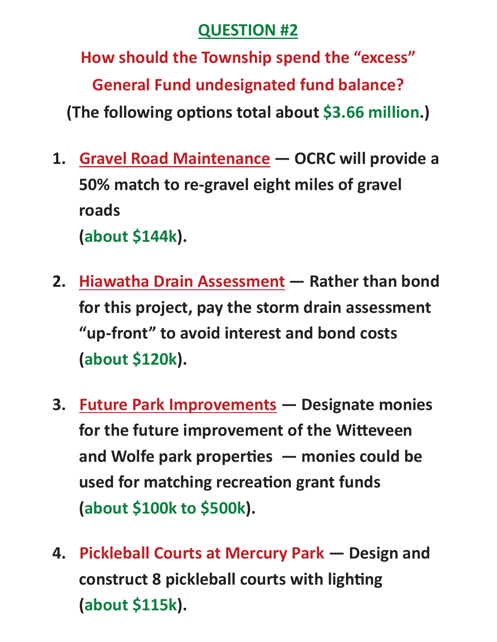# **QUESTION #2**

**How should the Township spend the "excess" General Fund undesignated fund balance? (The following opƟons total about \$3.66 million.)** 

- **1. Gravel Road Maintenance OCRC will provide a 50% match to re-gravel eight miles of gravel roads (about \$144k).**
- **2. Hiawatha Drain Assessment Rather than bond for this project, pay the storm drain assessment "up-front" to avoid interest and bond costs (about \$120k).**
- **3. Future Park Improvements Designate monies for the future improvement of the Witteveen and Wolfe park properƟes — monies could be used for matching recreaƟon grant funds (about \$100k to \$500k).**
- **4. Pickleball Courts at Mercury Park Design and construct 8 pickleball courts with lighting (about \$115k).**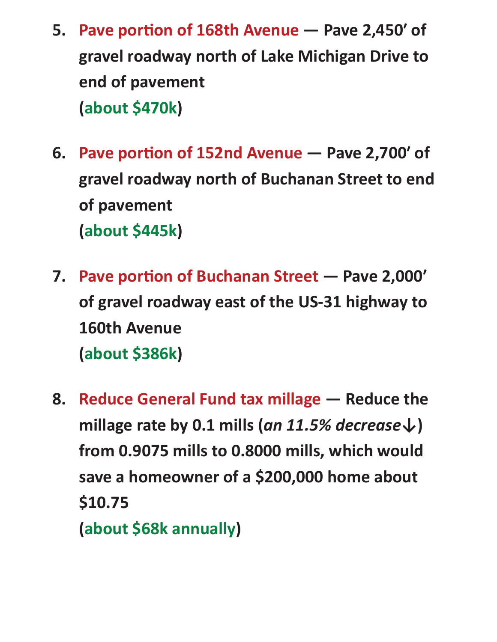- **5. Pave porƟon of 168th Avenue Pave 2,450ʹ of gravel roadway north of Lake Michigan Drive to end of pavement (about \$470k)**
- **6. Pave porƟon of 152nd Avenue Pave 2,700ʹ of gravel roadway north of Buchanan Street to end of pavement (about \$445k)**
- **7. Pave porƟon of Buchanan Street Pave 2,000ʹ of gravel roadway east of the US-31 highway to 160th Avenue (about \$386k)**
- **8. Reduce General Fund tax millage Reduce the millage rate by 0.1 mills (***an 11.5% decrease↓***) from 0.9075 mills to 0.8000 mills, which would save a homeowner of a \$200,000 home about \$10.75**

**(about \$68k annually)**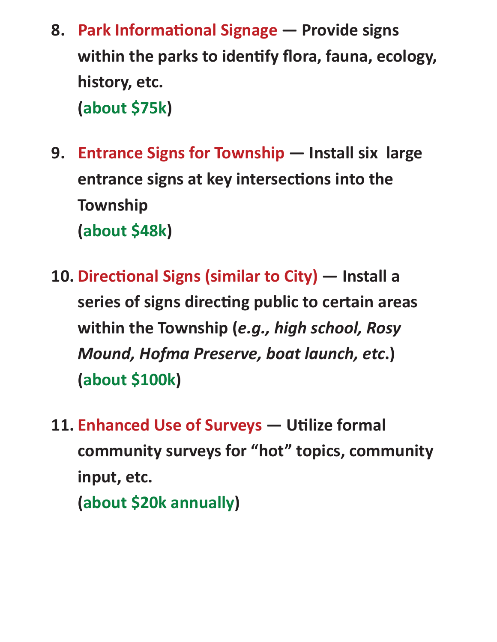- **8. Park Informational Signage Provide signs within the parks to idenƟfy flora, fauna, ecology, history, etc. (about \$75k)**
- **9. Entrance Signs for Township Install six large entrance signs at key intersections into the Township (about \$48k)**
- **10. DirecƟonal Signs (similar to City) Install a series of signs directing public to certain areas within the Township (***e.g., high school, Rosy Mound, Hofma Preserve, boat launch, etc***.) (about \$100k)**
- 11. Enhanced Use of Surveys Utilize formal **community surveys for "hot" topics, community input, etc. (about \$20k annually)**